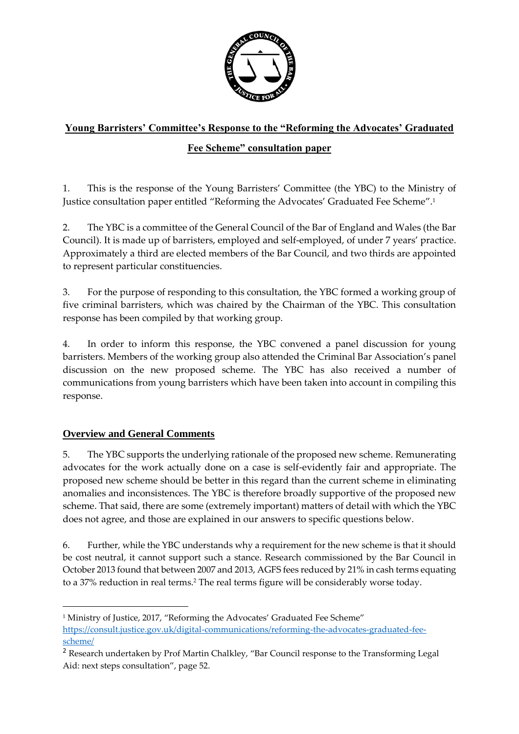

# **Young Barristers' Committee's Response to the "Reforming the Advocates' Graduated**

# **Fee Scheme" consultation paper**

1. This is the response of the Young Barristers' Committee (the YBC) to the Ministry of Justice consultation paper entitled "Reforming the Advocates' Graduated Fee Scheme".<sup>1</sup>

2. The YBC is a committee of the General Council of the Bar of England and Wales (the Bar Council). It is made up of barristers, employed and self-employed, of under 7 years' practice. Approximately a third are elected members of the Bar Council, and two thirds are appointed to represent particular constituencies.

3. For the purpose of responding to this consultation, the YBC formed a working group of five criminal barristers, which was chaired by the Chairman of the YBC. This consultation response has been compiled by that working group.

4. In order to inform this response, the YBC convened a panel discussion for young barristers. Members of the working group also attended the Criminal Bar Association's panel discussion on the new proposed scheme. The YBC has also received a number of communications from young barristers which have been taken into account in compiling this response.

# **Overview and General Comments**

1

5. The YBC supports the underlying rationale of the proposed new scheme. Remunerating advocates for the work actually done on a case is self-evidently fair and appropriate. The proposed new scheme should be better in this regard than the current scheme in eliminating anomalies and inconsistences. The YBC is therefore broadly supportive of the proposed new scheme. That said, there are some (extremely important) matters of detail with which the YBC does not agree, and those are explained in our answers to specific questions below.

6. Further, while the YBC understands why a requirement for the new scheme is that it should be cost neutral, it cannot support such a stance. Research commissioned by the Bar Council in October 2013 found that between 2007 and 2013, AGFS fees reduced by 21% in cash terms equating to a 37% reduction in real terms.<sup>2</sup> The real terms figure will be considerably worse today.

<sup>&</sup>lt;sup>1</sup> Ministry of Justice, 2017, "Reforming the Advocates' Graduated Fee Scheme"

[https://consult.justice.gov.uk/digital-communications/reforming-the-advocates-graduated-fee](https://consult.justice.gov.uk/digital-communications/reforming-the-advocates-graduated-fee-scheme/)[scheme/](https://consult.justice.gov.uk/digital-communications/reforming-the-advocates-graduated-fee-scheme/)

<sup>2</sup> Research undertaken by Prof Martin Chalkley, "Bar Council response to the Transforming Legal Aid: next steps consultation", page 52.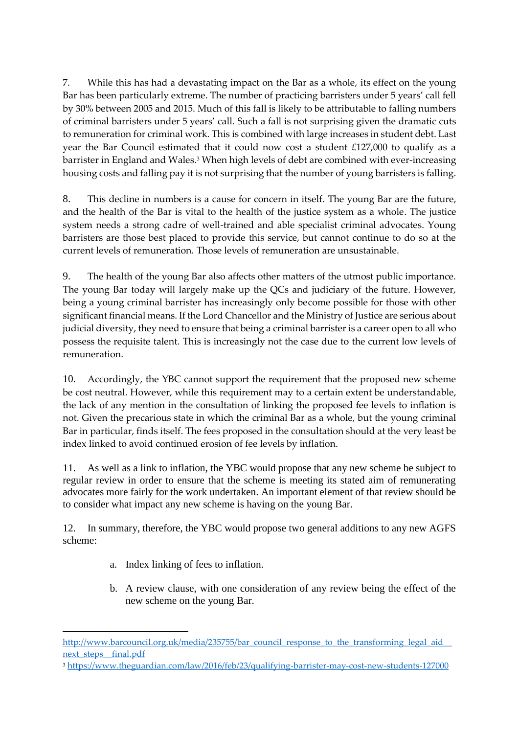7. While this has had a devastating impact on the Bar as a whole, its effect on the young Bar has been particularly extreme. The number of practicing barristers under 5 years' call fell by 30% between 2005 and 2015. Much of this fall is likely to be attributable to falling numbers of criminal barristers under 5 years' call. Such a fall is not surprising given the dramatic cuts to remuneration for criminal work. This is combined with large increases in student debt. Last year the Bar Council estimated that it could now cost a student £127,000 to qualify as a barrister in England and Wales.<sup>3</sup> When high levels of debt are combined with ever-increasing housing costs and falling pay it is not surprising that the number of young barristers is falling.

8. This decline in numbers is a cause for concern in itself. The young Bar are the future, and the health of the Bar is vital to the health of the justice system as a whole. The justice system needs a strong cadre of well-trained and able specialist criminal advocates. Young barristers are those best placed to provide this service, but cannot continue to do so at the current levels of remuneration. Those levels of remuneration are unsustainable.

9. The health of the young Bar also affects other matters of the utmost public importance. The young Bar today will largely make up the QCs and judiciary of the future. However, being a young criminal barrister has increasingly only become possible for those with other significant financial means. If the Lord Chancellor and the Ministry of Justice are serious about judicial diversity, they need to ensure that being a criminal barrister is a career open to all who possess the requisite talent. This is increasingly not the case due to the current low levels of remuneration.

10. Accordingly, the YBC cannot support the requirement that the proposed new scheme be cost neutral. However, while this requirement may to a certain extent be understandable, the lack of any mention in the consultation of linking the proposed fee levels to inflation is not. Given the precarious state in which the criminal Bar as a whole, but the young criminal Bar in particular, finds itself. The fees proposed in the consultation should at the very least be index linked to avoid continued erosion of fee levels by inflation.

11. As well as a link to inflation, the YBC would propose that any new scheme be subject to regular review in order to ensure that the scheme is meeting its stated aim of remunerating advocates more fairly for the work undertaken. An important element of that review should be to consider what impact any new scheme is having on the young Bar.

12. In summary, therefore, the YBC would propose two general additions to any new AGFS scheme:

a. Index linking of fees to inflation.

 $\overline{a}$ 

b. A review clause, with one consideration of any review being the effect of the new scheme on the young Bar.

http://www.barcouncil.org.uk/media/235755/bar\_council\_response\_to\_the\_transforming\_legal\_aid next\_steps\_final.pdf

<sup>3</sup> <https://www.theguardian.com/law/2016/feb/23/qualifying-barrister-may-cost-new-students-127000>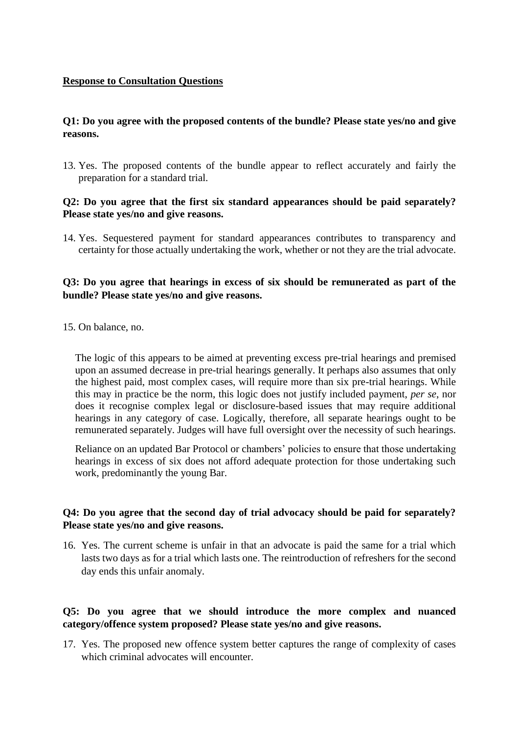#### **Response to Consultation Questions**

#### **Q1: Do you agree with the proposed contents of the bundle? Please state yes/no and give reasons.**

13. Yes. The proposed contents of the bundle appear to reflect accurately and fairly the preparation for a standard trial.

#### **Q2: Do you agree that the first six standard appearances should be paid separately? Please state yes/no and give reasons.**

14. Yes. Sequestered payment for standard appearances contributes to transparency and certainty for those actually undertaking the work, whether or not they are the trial advocate.

### **Q3: Do you agree that hearings in excess of six should be remunerated as part of the bundle? Please state yes/no and give reasons.**

15. On balance, no.

The logic of this appears to be aimed at preventing excess pre-trial hearings and premised upon an assumed decrease in pre-trial hearings generally. It perhaps also assumes that only the highest paid, most complex cases, will require more than six pre-trial hearings. While this may in practice be the norm, this logic does not justify included payment, *per se*, nor does it recognise complex legal or disclosure-based issues that may require additional hearings in any category of case. Logically, therefore, all separate hearings ought to be remunerated separately. Judges will have full oversight over the necessity of such hearings.

Reliance on an updated Bar Protocol or chambers' policies to ensure that those undertaking hearings in excess of six does not afford adequate protection for those undertaking such work, predominantly the young Bar.

### **Q4: Do you agree that the second day of trial advocacy should be paid for separately? Please state yes/no and give reasons.**

16. Yes. The current scheme is unfair in that an advocate is paid the same for a trial which lasts two days as for a trial which lasts one. The reintroduction of refreshers for the second day ends this unfair anomaly.

#### **Q5: Do you agree that we should introduce the more complex and nuanced category/offence system proposed? Please state yes/no and give reasons.**

17. Yes. The proposed new offence system better captures the range of complexity of cases which criminal advocates will encounter.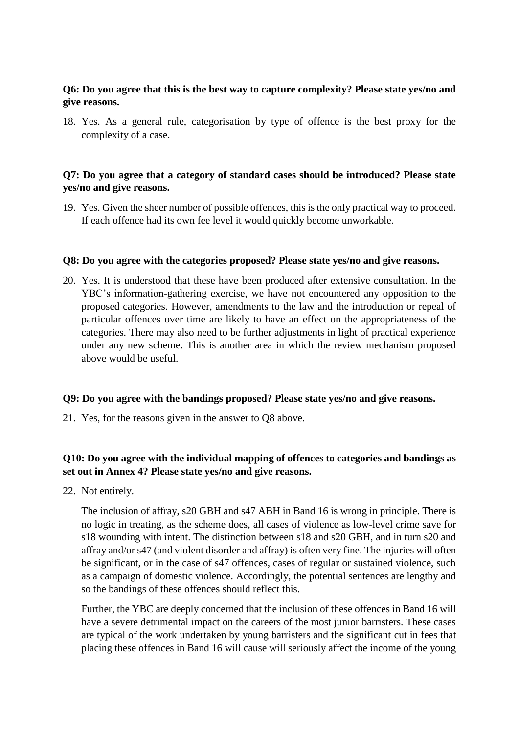### **Q6: Do you agree that this is the best way to capture complexity? Please state yes/no and give reasons.**

18. Yes. As a general rule, categorisation by type of offence is the best proxy for the complexity of a case.

#### **Q7: Do you agree that a category of standard cases should be introduced? Please state yes/no and give reasons.**

19. Yes. Given the sheer number of possible offences, this is the only practical way to proceed. If each offence had its own fee level it would quickly become unworkable.

#### **Q8: Do you agree with the categories proposed? Please state yes/no and give reasons.**

20. Yes. It is understood that these have been produced after extensive consultation. In the YBC's information-gathering exercise, we have not encountered any opposition to the proposed categories. However, amendments to the law and the introduction or repeal of particular offences over time are likely to have an effect on the appropriateness of the categories. There may also need to be further adjustments in light of practical experience under any new scheme. This is another area in which the review mechanism proposed above would be useful.

#### **Q9: Do you agree with the bandings proposed? Please state yes/no and give reasons.**

21. Yes, for the reasons given in the answer to Q8 above.

### **Q10: Do you agree with the individual mapping of offences to categories and bandings as set out in Annex 4? Please state yes/no and give reasons.**

22. Not entirely.

The inclusion of affray, s20 GBH and s47 ABH in Band 16 is wrong in principle. There is no logic in treating, as the scheme does, all cases of violence as low-level crime save for s18 wounding with intent. The distinction between s18 and s20 GBH, and in turn s20 and affray and/or s47 (and violent disorder and affray) is often very fine. The injuries will often be significant, or in the case of s47 offences, cases of regular or sustained violence, such as a campaign of domestic violence. Accordingly, the potential sentences are lengthy and so the bandings of these offences should reflect this.

Further, the YBC are deeply concerned that the inclusion of these offences in Band 16 will have a severe detrimental impact on the careers of the most junior barristers. These cases are typical of the work undertaken by young barristers and the significant cut in fees that placing these offences in Band 16 will cause will seriously affect the income of the young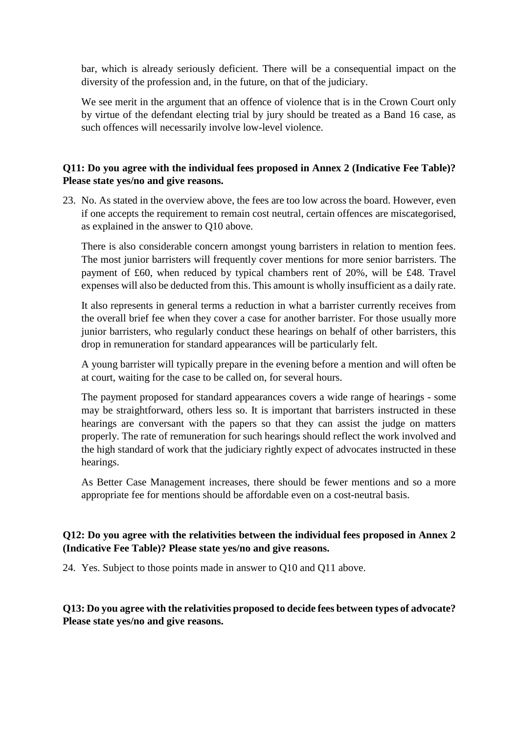bar, which is already seriously deficient. There will be a consequential impact on the diversity of the profession and, in the future, on that of the judiciary.

We see merit in the argument that an offence of violence that is in the Crown Court only by virtue of the defendant electing trial by jury should be treated as a Band 16 case, as such offences will necessarily involve low-level violence.

# **Q11: Do you agree with the individual fees proposed in Annex 2 (Indicative Fee Table)? Please state yes/no and give reasons.**

23. No. As stated in the overview above, the fees are too low across the board. However, even if one accepts the requirement to remain cost neutral, certain offences are miscategorised, as explained in the answer to Q10 above.

There is also considerable concern amongst young barristers in relation to mention fees. The most junior barristers will frequently cover mentions for more senior barristers. The payment of £60, when reduced by typical chambers rent of 20%, will be £48. Travel expenses will also be deducted from this. This amount is wholly insufficient as a daily rate.

It also represents in general terms a reduction in what a barrister currently receives from the overall brief fee when they cover a case for another barrister. For those usually more junior barristers, who regularly conduct these hearings on behalf of other barristers, this drop in remuneration for standard appearances will be particularly felt.

A young barrister will typically prepare in the evening before a mention and will often be at court, waiting for the case to be called on, for several hours.

The payment proposed for standard appearances covers a wide range of hearings - some may be straightforward, others less so. It is important that barristers instructed in these hearings are conversant with the papers so that they can assist the judge on matters properly. The rate of remuneration for such hearings should reflect the work involved and the high standard of work that the judiciary rightly expect of advocates instructed in these hearings.

As Better Case Management increases, there should be fewer mentions and so a more appropriate fee for mentions should be affordable even on a cost-neutral basis.

# **Q12: Do you agree with the relativities between the individual fees proposed in Annex 2 (Indicative Fee Table)? Please state yes/no and give reasons.**

24. Yes. Subject to those points made in answer to Q10 and Q11 above.

# **Q13: Do you agree with the relativities proposed to decide fees between types of advocate? Please state yes/no and give reasons.**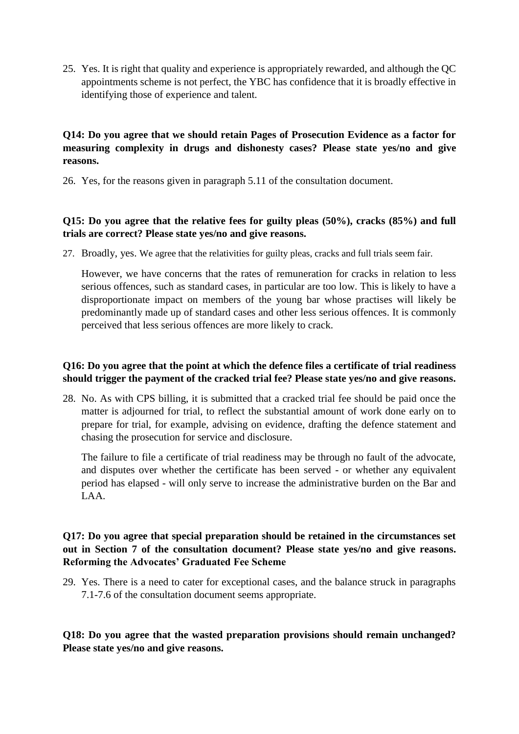25. Yes. It is right that quality and experience is appropriately rewarded, and although the QC appointments scheme is not perfect, the YBC has confidence that it is broadly effective in identifying those of experience and talent.

# **Q14: Do you agree that we should retain Pages of Prosecution Evidence as a factor for measuring complexity in drugs and dishonesty cases? Please state yes/no and give reasons.**

26. Yes, for the reasons given in paragraph 5.11 of the consultation document.

# **Q15: Do you agree that the relative fees for guilty pleas (50%), cracks (85%) and full trials are correct? Please state yes/no and give reasons.**

27. Broadly, yes. We agree that the relativities for guilty pleas, cracks and full trials seem fair.

However, we have concerns that the rates of remuneration for cracks in relation to less serious offences, such as standard cases, in particular are too low. This is likely to have a disproportionate impact on members of the young bar whose practises will likely be predominantly made up of standard cases and other less serious offences. It is commonly perceived that less serious offences are more likely to crack.

### **Q16: Do you agree that the point at which the defence files a certificate of trial readiness should trigger the payment of the cracked trial fee? Please state yes/no and give reasons.**

28. No. As with CPS billing, it is submitted that a cracked trial fee should be paid once the matter is adjourned for trial, to reflect the substantial amount of work done early on to prepare for trial, for example, advising on evidence, drafting the defence statement and chasing the prosecution for service and disclosure.

The failure to file a certificate of trial readiness may be through no fault of the advocate, and disputes over whether the certificate has been served - or whether any equivalent period has elapsed - will only serve to increase the administrative burden on the Bar and LAA.

# **Q17: Do you agree that special preparation should be retained in the circumstances set out in Section 7 of the consultation document? Please state yes/no and give reasons. Reforming the Advocates' Graduated Fee Scheme**

29. Yes. There is a need to cater for exceptional cases, and the balance struck in paragraphs 7.1-7.6 of the consultation document seems appropriate.

**Q18: Do you agree that the wasted preparation provisions should remain unchanged? Please state yes/no and give reasons.**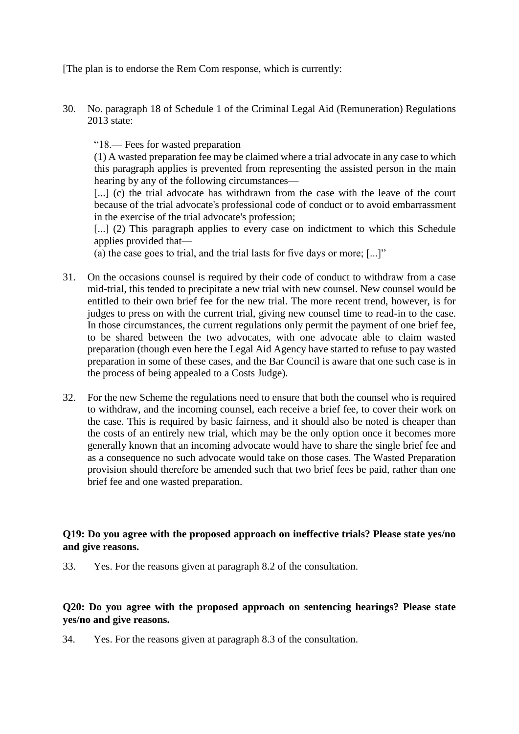[The plan is to endorse the Rem Com response, which is currently:

30. No. paragraph 18 of Schedule 1 of the Criminal Legal Aid (Remuneration) Regulations 2013 state:

"18.— Fees for wasted preparation

(1) A wasted preparation fee may be claimed where a trial advocate in any case to which this paragraph applies is prevented from representing the assisted person in the main hearing by any of the following circumstances—

[...] (c) the trial advocate has withdrawn from the case with the leave of the court because of the trial advocate's professional code of conduct or to avoid embarrassment in the exercise of the trial advocate's profession;

[...] (2) This paragraph applies to every case on indictment to which this Schedule applies provided that—

(a) the case goes to trial, and the trial lasts for five days or more; [...]"

- 31. On the occasions counsel is required by their code of conduct to withdraw from a case mid-trial, this tended to precipitate a new trial with new counsel. New counsel would be entitled to their own brief fee for the new trial. The more recent trend, however, is for judges to press on with the current trial, giving new counsel time to read-in to the case. In those circumstances, the current regulations only permit the payment of one brief fee, to be shared between the two advocates, with one advocate able to claim wasted preparation (though even here the Legal Aid Agency have started to refuse to pay wasted preparation in some of these cases, and the Bar Council is aware that one such case is in the process of being appealed to a Costs Judge).
- 32. For the new Scheme the regulations need to ensure that both the counsel who is required to withdraw, and the incoming counsel, each receive a brief fee, to cover their work on the case. This is required by basic fairness, and it should also be noted is cheaper than the costs of an entirely new trial, which may be the only option once it becomes more generally known that an incoming advocate would have to share the single brief fee and as a consequence no such advocate would take on those cases. The Wasted Preparation provision should therefore be amended such that two brief fees be paid, rather than one brief fee and one wasted preparation.

# **Q19: Do you agree with the proposed approach on ineffective trials? Please state yes/no and give reasons.**

33. Yes. For the reasons given at paragraph 8.2 of the consultation.

### **Q20: Do you agree with the proposed approach on sentencing hearings? Please state yes/no and give reasons.**

34. Yes. For the reasons given at paragraph 8.3 of the consultation.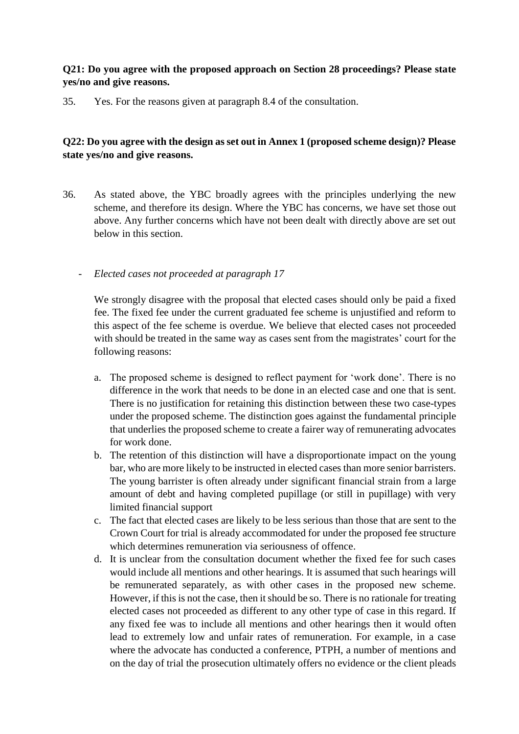# **Q21: Do you agree with the proposed approach on Section 28 proceedings? Please state yes/no and give reasons.**

35. Yes. For the reasons given at paragraph 8.4 of the consultation.

# **Q22: Do you agree with the design as set out in Annex 1 (proposed scheme design)? Please state yes/no and give reasons.**

36. As stated above, the YBC broadly agrees with the principles underlying the new scheme, and therefore its design. Where the YBC has concerns, we have set those out above. Any further concerns which have not been dealt with directly above are set out below in this section.

### - *Elected cases not proceeded at paragraph 17*

We strongly disagree with the proposal that elected cases should only be paid a fixed fee. The fixed fee under the current graduated fee scheme is unjustified and reform to this aspect of the fee scheme is overdue. We believe that elected cases not proceeded with should be treated in the same way as cases sent from the magistrates' court for the following reasons:

- a. The proposed scheme is designed to reflect payment for 'work done'. There is no difference in the work that needs to be done in an elected case and one that is sent. There is no justification for retaining this distinction between these two case-types under the proposed scheme. The distinction goes against the fundamental principle that underlies the proposed scheme to create a fairer way of remunerating advocates for work done.
- b. The retention of this distinction will have a disproportionate impact on the young bar, who are more likely to be instructed in elected cases than more senior barristers. The young barrister is often already under significant financial strain from a large amount of debt and having completed pupillage (or still in pupillage) with very limited financial support
- c. The fact that elected cases are likely to be less serious than those that are sent to the Crown Court for trial is already accommodated for under the proposed fee structure which determines remuneration via seriousness of offence.
- d. It is unclear from the consultation document whether the fixed fee for such cases would include all mentions and other hearings. It is assumed that such hearings will be remunerated separately, as with other cases in the proposed new scheme. However, if this is not the case, then it should be so. There is no rationale for treating elected cases not proceeded as different to any other type of case in this regard. If any fixed fee was to include all mentions and other hearings then it would often lead to extremely low and unfair rates of remuneration. For example, in a case where the advocate has conducted a conference, PTPH, a number of mentions and on the day of trial the prosecution ultimately offers no evidence or the client pleads